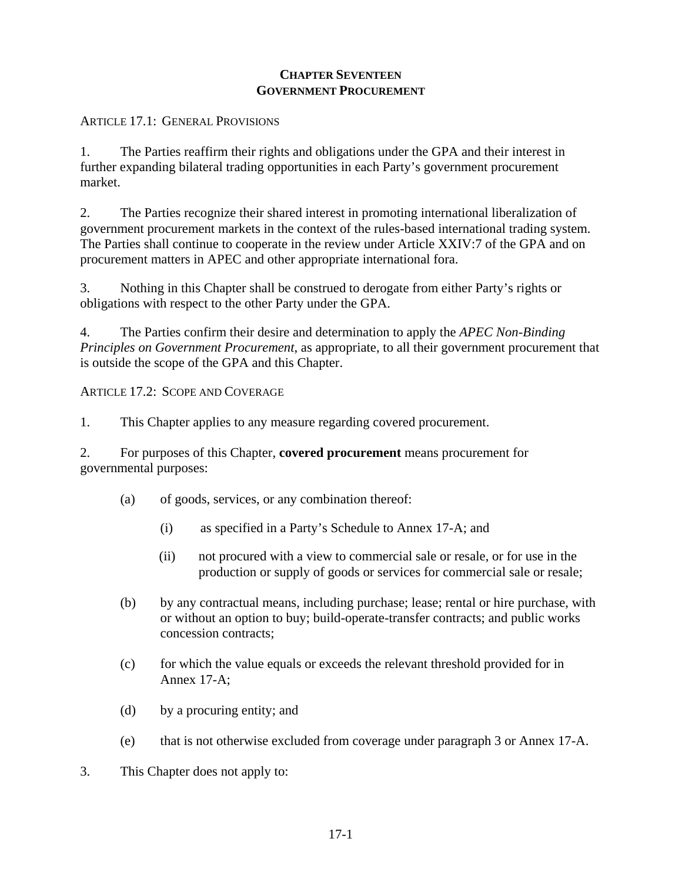### **CHAPTER SEVENTEEN GOVERNMENT PROCUREMENT**

## ARTICLE 17.1: GENERAL PROVISIONS

1. The Parties reaffirm their rights and obligations under the GPA and their interest in further expanding bilateral trading opportunities in each Party's government procurement market.

2. The Parties recognize their shared interest in promoting international liberalization of government procurement markets in the context of the rules-based international trading system. The Parties shall continue to cooperate in the review under Article XXIV:7 of the GPA and on procurement matters in APEC and other appropriate international fora.

3. Nothing in this Chapter shall be construed to derogate from either Party's rights or obligations with respect to the other Party under the GPA.

4. The Parties confirm their desire and determination to apply the *APEC Non-Binding Principles on Government Procurement*, as appropriate, to all their government procurement that is outside the scope of the GPA and this Chapter.

ARTICLE 17.2: SCOPE AND COVERAGE

1. This Chapter applies to any measure regarding covered procurement.

2. For purposes of this Chapter, **covered procurement** means procurement for governmental purposes:

- (a) of goods, services, or any combination thereof:
	- (i) as specified in a Party's Schedule to Annex 17-A; and
	- (ii) not procured with a view to commercial sale or resale, or for use in the production or supply of goods or services for commercial sale or resale;
- (b) by any contractual means, including purchase; lease; rental or hire purchase, with or without an option to buy; build-operate-transfer contracts; and public works concession contracts;
- (c) for which the value equals or exceeds the relevant threshold provided for in Annex 17-A;
- (d) by a procuring entity; and
- (e) that is not otherwise excluded from coverage under paragraph 3 or Annex 17-A.
- 3. This Chapter does not apply to: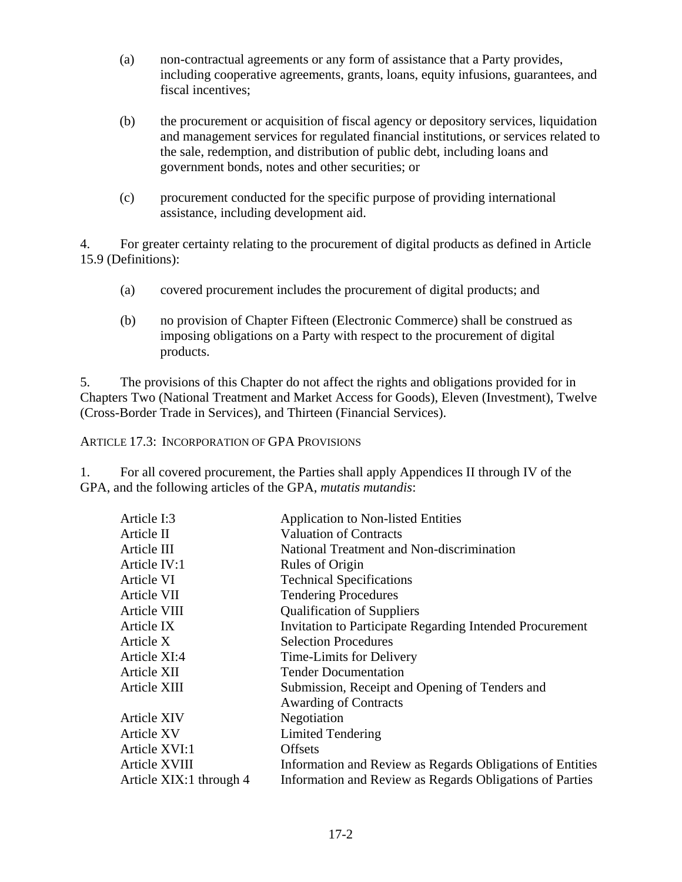- (a) non-contractual agreements or any form of assistance that a Party provides, including cooperative agreements, grants, loans, equity infusions, guarantees, and fiscal incentives;
- (b) the procurement or acquisition of fiscal agency or depository services, liquidation and management services for regulated financial institutions, or services related to the sale, redemption, and distribution of public debt, including loans and government bonds, notes and other securities; or
- (c) procurement conducted for the specific purpose of providing international assistance, including development aid.

4. For greater certainty relating to the procurement of digital products as defined in Article 15.9 (Definitions):

- (a) covered procurement includes the procurement of digital products; and
- (b) no provision of Chapter Fifteen (Electronic Commerce) shall be construed as imposing obligations on a Party with respect to the procurement of digital products.

5. The provisions of this Chapter do not affect the rights and obligations provided for in Chapters Two (National Treatment and Market Access for Goods), Eleven (Investment), Twelve (Cross-Border Trade in Services), and Thirteen (Financial Services).

ARTICLE 17.3: INCORPORATION OF GPA PROVISIONS

1. For all covered procurement, the Parties shall apply Appendices II through IV of the GPA, and the following articles of the GPA, *mutatis mutandis*:

| Article I:3             | <b>Application to Non-listed Entities</b>                 |
|-------------------------|-----------------------------------------------------------|
| Article II              | <b>Valuation of Contracts</b>                             |
| Article III             | National Treatment and Non-discrimination                 |
| Article IV:1            | Rules of Origin                                           |
| Article VI              | <b>Technical Specifications</b>                           |
| Article VII             | <b>Tendering Procedures</b>                               |
| Article VIII            | <b>Qualification of Suppliers</b>                         |
| Article IX              | Invitation to Participate Regarding Intended Procurement  |
| Article X               | <b>Selection Procedures</b>                               |
| Article XI:4            | Time-Limits for Delivery                                  |
| Article XII             | <b>Tender Documentation</b>                               |
| Article XIII            | Submission, Receipt and Opening of Tenders and            |
|                         | <b>Awarding of Contracts</b>                              |
| <b>Article XIV</b>      | Negotiation                                               |
| <b>Article XV</b>       | <b>Limited Tendering</b>                                  |
| Article XVI:1           | <b>Offsets</b>                                            |
| Article XVIII           | Information and Review as Regards Obligations of Entities |
| Article XIX:1 through 4 | Information and Review as Regards Obligations of Parties  |
|                         |                                                           |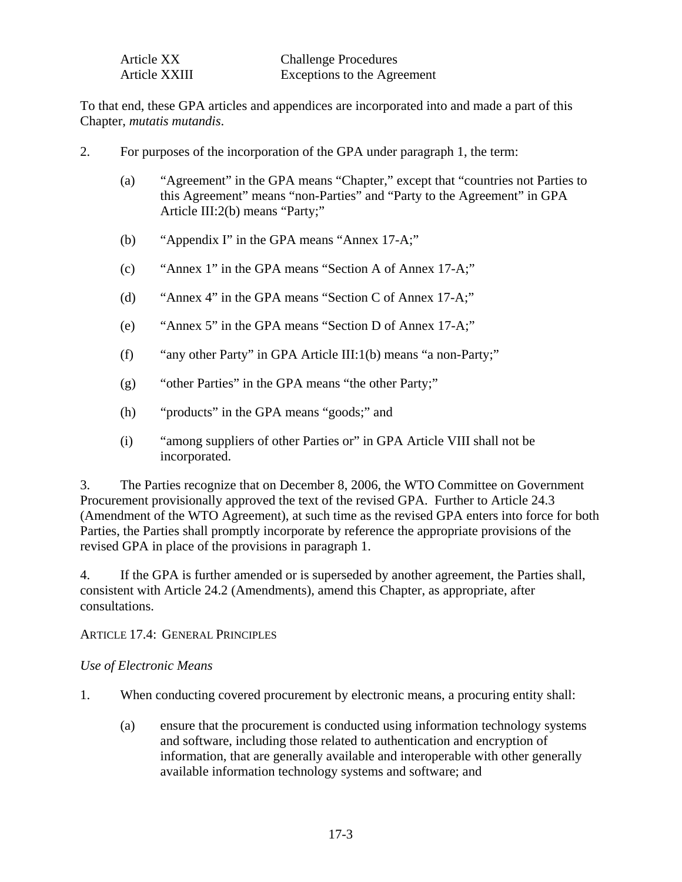| Article XX    | <b>Challenge Procedures</b> |
|---------------|-----------------------------|
| Article XXIII | Exceptions to the Agreement |

To that end, these GPA articles and appendices are incorporated into and made a part of this Chapter, *mutatis mutandis*.

- 2. For purposes of the incorporation of the GPA under paragraph 1, the term:
	- (a) "Agreement" in the GPA means "Chapter," except that "countries not Parties to this Agreement" means "non-Parties" and "Party to the Agreement" in GPA Article III:2(b) means "Party;"
	- (b) "Appendix I" in the GPA means "Annex 17-A;"
	- (c) "Annex 1" in the GPA means "Section A of Annex 17-A;"
	- (d) "Annex 4" in the GPA means "Section C of Annex 17-A;"
	- (e) "Annex 5" in the GPA means "Section D of Annex 17-A;"
	- (f) "any other Party" in GPA Article III:1(b) means "a non-Party;"
	- (g) "other Parties" in the GPA means "the other Party;"
	- (h) "products" in the GPA means "goods;" and
	- (i)"among suppliers of other Parties or" in GPA Article VIII shall not be incorporated.

3. The Parties recognize that on December 8, 2006, the WTO Committee on Government Procurement provisionally approved the text of the revised GPA. Further to Article 24.3 (Amendment of the WTO Agreement), at such time as the revised GPA enters into force for both Parties, the Parties shall promptly incorporate by reference the appropriate provisions of the revised GPA in place of the provisions in paragraph 1.

4. If the GPA is further amended or is superseded by another agreement, the Parties shall, consistent with Article 24.2 (Amendments), amend this Chapter, as appropriate, after consultations.

#### ARTICLE 17.4: GENERAL PRINCIPLES

### *Use of Electronic Means*

- 1. When conducting covered procurement by electronic means, a procuring entity shall:
	- (a) ensure that the procurement is conducted using information technology systems and software, including those related to authentication and encryption of information, that are generally available and interoperable with other generally available information technology systems and software; and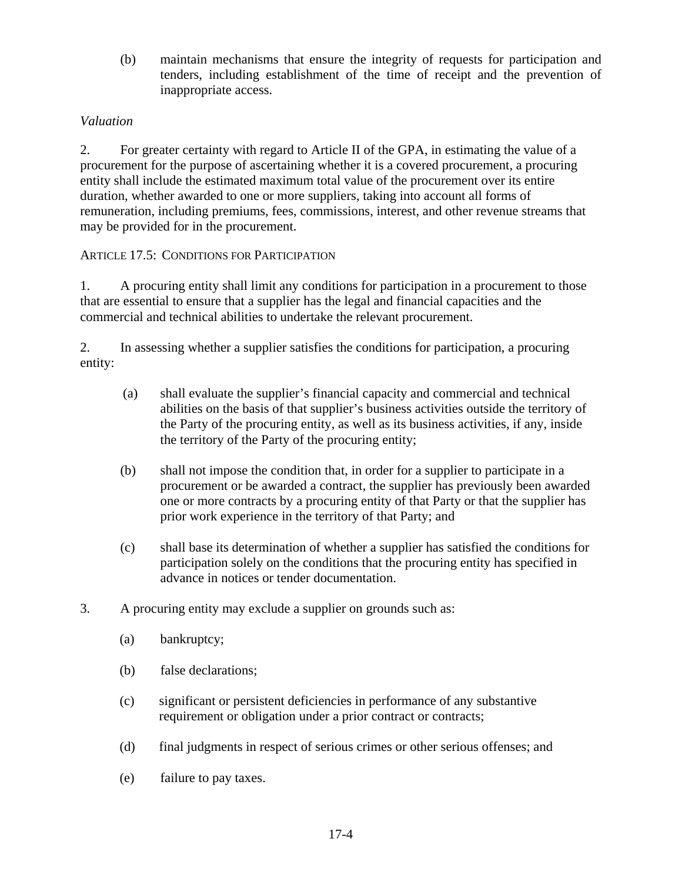(b) maintain mechanisms that ensure the integrity of requests for participation and tenders, including establishment of the time of receipt and the prevention of inappropriate access.

## *Valuation*

2. For greater certainty with regard to Article II of the GPA, in estimating the value of a procurement for the purpose of ascertaining whether it is a covered procurement, a procuring entity shall include the estimated maximum total value of the procurement over its entire duration, whether awarded to one or more suppliers, taking into account all forms of remuneration, including premiums, fees, commissions, interest, and other revenue streams that may be provided for in the procurement.

## ARTICLE 17.5: CONDITIONS FOR PARTICIPATION

1. A procuring entity shall limit any conditions for participation in a procurement to those that are essential to ensure that a supplier has the legal and financial capacities and the commercial and technical abilities to undertake the relevant procurement.

2. In assessing whether a supplier satisfies the conditions for participation, a procuring entity:

- (a) shall evaluate the supplier's financial capacity and commercial and technical abilities on the basis of that supplier's business activities outside the territory of the Party of the procuring entity, as well as its business activities, if any, inside the territory of the Party of the procuring entity;
- (b) shall not impose the condition that, in order for a supplier to participate in a procurement or be awarded a contract, the supplier has previously been awarded one or more contracts by a procuring entity of that Party or that the supplier has prior work experience in the territory of that Party; and
- (c) shall base its determination of whether a supplier has satisfied the conditions for participation solely on the conditions that the procuring entity has specified in advance in notices or tender documentation.
- 3. A procuring entity may exclude a supplier on grounds such as:
	- (a) bankruptcy;
	- (b) false declarations;
	- (c) significant or persistent deficiencies in performance of any substantive requirement or obligation under a prior contract or contracts;
	- (d) final judgments in respect of serious crimes or other serious offenses; and
	- (e) failure to pay taxes.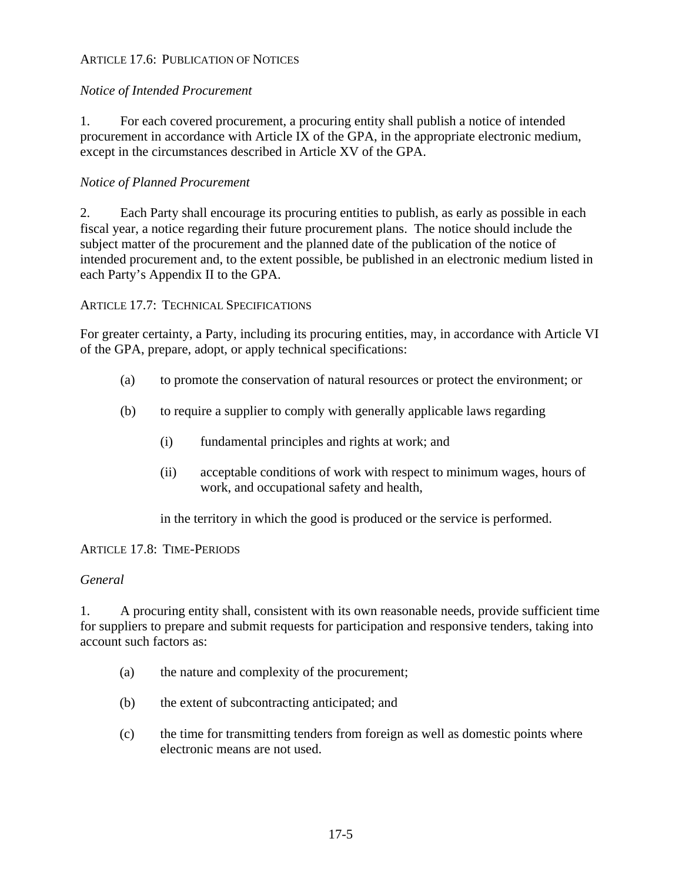## ARTICLE 17.6: PUBLICATION OF NOTICES

## *Notice of Intended Procurement*

1. For each covered procurement, a procuring entity shall publish a notice of intended procurement in accordance with Article IX of the GPA, in the appropriate electronic medium, except in the circumstances described in Article XV of the GPA.

## *Notice of Planned Procurement*

2. Each Party shall encourage its procuring entities to publish, as early as possible in each fiscal year, a notice regarding their future procurement plans. The notice should include the subject matter of the procurement and the planned date of the publication of the notice of intended procurement and, to the extent possible, be published in an electronic medium listed in each Party's Appendix II to the GPA.

### ARTICLE 17.7: TECHNICAL SPECIFICATIONS

For greater certainty, a Party, including its procuring entities, may, in accordance with Article VI of the GPA, prepare, adopt, or apply technical specifications:

- (a) to promote the conservation of natural resources or protect the environment; or
- (b) to require a supplier to comply with generally applicable laws regarding
	- (i) fundamental principles and rights at work; and
	- (ii) acceptable conditions of work with respect to minimum wages, hours of work, and occupational safety and health,

in the territory in which the good is produced or the service is performed.

#### ARTICLE 17.8: TIME-PERIODS

#### *General*

1. A procuring entity shall, consistent with its own reasonable needs, provide sufficient time for suppliers to prepare and submit requests for participation and responsive tenders, taking into account such factors as:

- (a) the nature and complexity of the procurement;
- (b) the extent of subcontracting anticipated; and
- (c) the time for transmitting tenders from foreign as well as domestic points where electronic means are not used.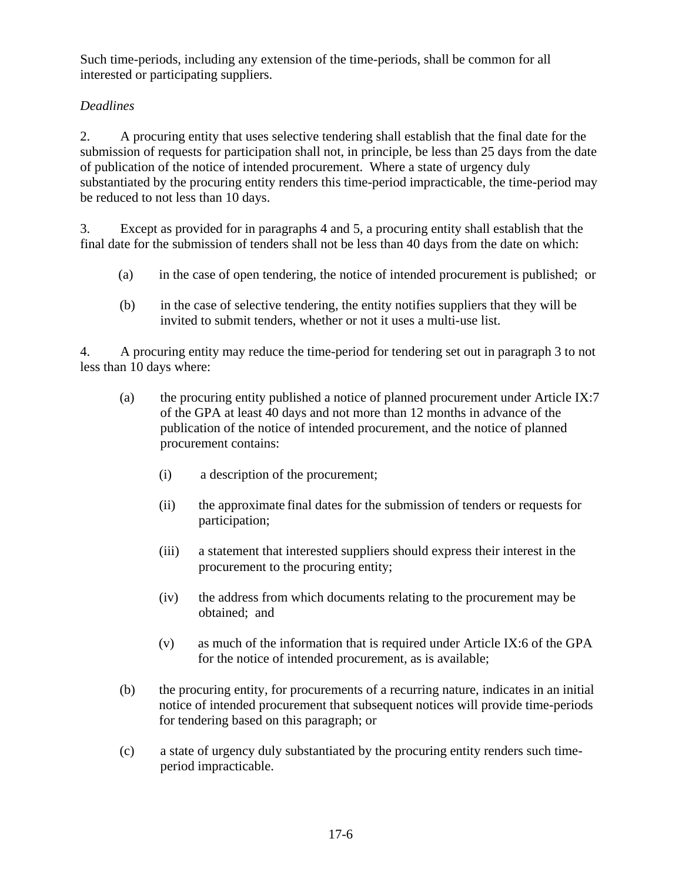Such time-periods, including any extension of the time-periods, shall be common for all interested or participating suppliers.

# *Deadlines*

2. A procuring entity that uses selective tendering shall establish that the final date for the submission of requests for participation shall not, in principle, be less than 25 days from the date of publication of the notice of intended procurement. Where a state of urgency duly substantiated by the procuring entity renders this time-period impracticable, the time-period may be reduced to not less than 10 days.

3. Except as provided for in paragraphs 4 and 5, a procuring entity shall establish that the final date for the submission of tenders shall not be less than 40 days from the date on which:

- (a) in the case of open tendering, the notice of intended procurement is published; or
- (b) in the case of selective tendering, the entity notifies suppliers that they will be invited to submit tenders, whether or not it uses a multi-use list.

4. A procuring entity may reduce the time-period for tendering set out in paragraph 3 to not less than 10 days where:

- (a) the procuring entity published a notice of planned procurement under Article IX:7 of the GPA at least 40 days and not more than 12 months in advance of the publication of the notice of intended procurement, and the notice of planned procurement contains:
	- (i) a description of the procurement;
	- (ii) the approximate final dates for the submission of tenders or requests for participation;
	- (iii) a statement that interested suppliers should express their interest in the procurement to the procuring entity;
	- (iv) the address from which documents relating to the procurement may be obtained; and
	- (v) as much of the information that is required under Article IX:6 of the GPA for the notice of intended procurement, as is available;
- (b) the procuring entity, for procurements of a recurring nature, indicates in an initial notice of intended procurement that subsequent notices will provide time-periods for tendering based on this paragraph; or
- (c) a state of urgency duly substantiated by the procuring entity renders such timeperiod impracticable.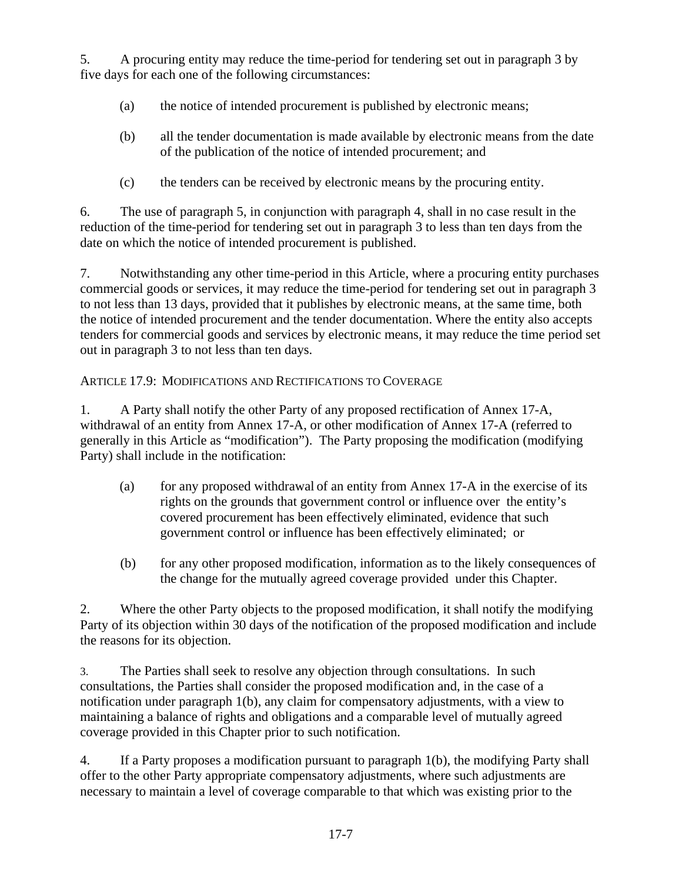5. A procuring entity may reduce the time-period for tendering set out in paragraph 3 by five days for each one of the following circumstances:

- (a) the notice of intended procurement is published by electronic means;
- (b) all the tender documentation is made available by electronic means from the date of the publication of the notice of intended procurement; and
- (c) the tenders can be received by electronic means by the procuring entity.

6. The use of paragraph 5, in conjunction with paragraph 4, shall in no case result in the reduction of the time-period for tendering set out in paragraph 3 to less than ten days from the date on which the notice of intended procurement is published.

7. Notwithstanding any other time-period in this Article, where a procuring entity purchases commercial goods or services, it may reduce the time-period for tendering set out in paragraph 3 to not less than 13 days, provided that it publishes by electronic means, at the same time, both the notice of intended procurement and the tender documentation. Where the entity also accepts tenders for commercial goods and services by electronic means, it may reduce the time period set out in paragraph 3 to not less than ten days.

# ARTICLE 17.9: MODIFICATIONS AND RECTIFICATIONS TO COVERAGE

1.A Party shall notify the other Party of any proposed rectification of Annex 17-A, withdrawal of an entity from Annex 17-A, or other modification of Annex 17-A (referred to generally in this Article as "modification"). The Party proposing the modification (modifying Party) shall include in the notification:

- (a) for any proposed withdrawal of an entity from Annex 17-A in the exercise of its rights on the grounds that government control or influence over the entity's covered procurement has been effectively eliminated, evidence that such government control or influence has been effectively eliminated; or
- (b) for any other proposed modification, information as to the likely consequences of the change for the mutually agreed coverage provided under this Chapter.

2. Where the other Party objects to the proposed modification, it shall notify the modifying Party of its objection within 30 days of the notification of the proposed modification and include the reasons for its objection.

3. The Parties shall seek to resolve any objection through consultations. In such consultations, the Parties shall consider the proposed modification and, in the case of a notification under paragraph 1(b), any claim for compensatory adjustments, with a view to maintaining a balance of rights and obligations and a comparable level of mutually agreed coverage provided in this Chapter prior to such notification.

4. If a Party proposes a modification pursuant to paragraph 1(b), the modifying Party shall offer to the other Party appropriate compensatory adjustments, where such adjustments are necessary to maintain a level of coverage comparable to that which was existing prior to the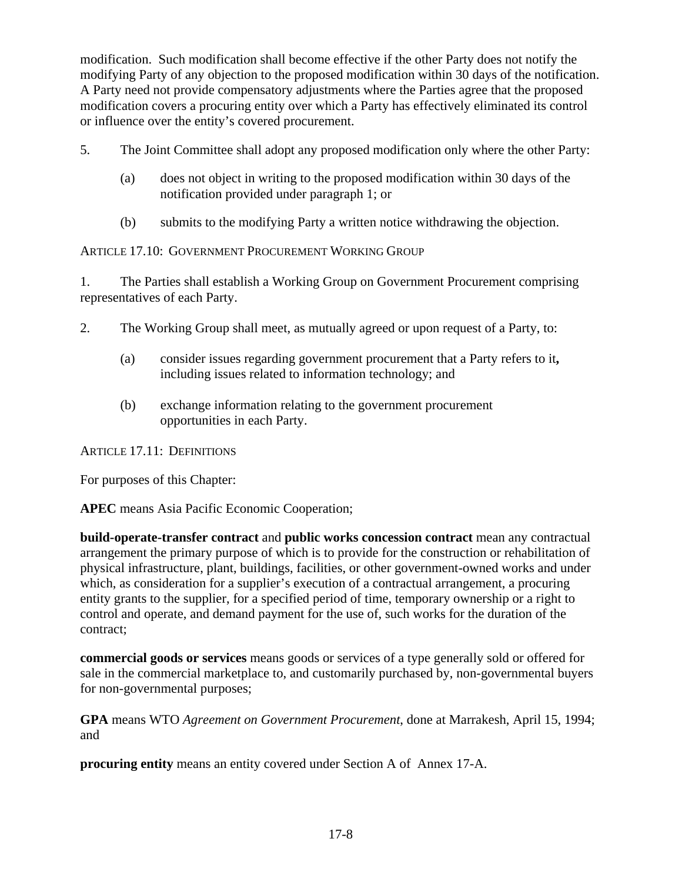modification. Such modification shall become effective if the other Party does not notify the modifying Party of any objection to the proposed modification within 30 days of the notification. A Party need not provide compensatory adjustments where the Parties agree that the proposed modification covers a procuring entity over which a Party has effectively eliminated its control or influence over the entity's covered procurement.

5. The Joint Committee shall adopt any proposed modification only where the other Party:

- (a) does not object in writing to the proposed modification within 30 days of the notification provided under paragraph 1; or
- (b) submits to the modifying Party a written notice withdrawing the objection.

ARTICLE 17.10: GOVERNMENT PROCUREMENT WORKING GROUP

1. The Parties shall establish a Working Group on Government Procurement comprising representatives of each Party.

- 2. The Working Group shall meet, as mutually agreed or upon request of a Party, to:
	- (a) consider issues regarding government procurement that a Party refers to it**,**  including issues related to information technology; and
	- (b) exchange information relating to the government procurement opportunities in each Party.

ARTICLE 17.11: DEFINITIONS

For purposes of this Chapter:

**APEC** means Asia Pacific Economic Cooperation;

**build-operate-transfer contract** and **public works concession contract** mean any contractual arrangement the primary purpose of which is to provide for the construction or rehabilitation of physical infrastructure, plant, buildings, facilities, or other government-owned works and under which, as consideration for a supplier's execution of a contractual arrangement, a procuring entity grants to the supplier, for a specified period of time, temporary ownership or a right to control and operate, and demand payment for the use of, such works for the duration of the contract;

**commercial goods or services** means goods or services of a type generally sold or offered for sale in the commercial marketplace to, and customarily purchased by, non-governmental buyers for non-governmental purposes;

**GPA** means WTO *Agreement on Government Procurement*, done at Marrakesh, April 15, 1994; and

**procuring entity** means an entity covered under Section A of Annex 17-A.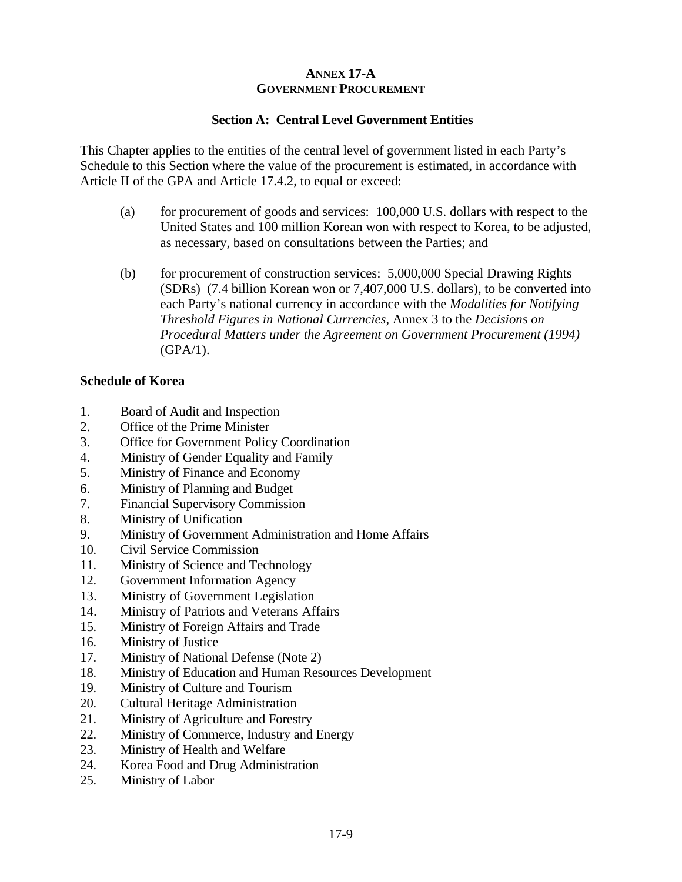# **ANNEX 17-A GOVERNMENT PROCUREMENT**

## **Section A: Central Level Government Entities**

This Chapter applies to the entities of the central level of government listed in each Party's Schedule to this Section where the value of the procurement is estimated, in accordance with Article II of the GPA and Article 17.4.2, to equal or exceed:

- (a) for procurement of goods and services: 100,000 U.S. dollars with respect to the United States and 100 million Korean won with respect to Korea, to be adjusted, as necessary, based on consultations between the Parties; and
- (b) for procurement of construction services: 5,000,000 Special Drawing Rights (SDRs) (7.4 billion Korean won or 7,407,000 U.S. dollars), to be converted into each Party's national currency in accordance with the *Modalities for Notifying Threshold Figures in National Currencies*, Annex 3 to the *Decisions on Procedural Matters under the Agreement on Government Procurement (1994)* (GPA/1).

#### **Schedule of Korea**

- 1. Board of Audit and Inspection
- 2. Office of the Prime Minister
- 3. Office for Government Policy Coordination
- 4. Ministry of Gender Equality and Family
- 5. Ministry of Finance and Economy
- 6. Ministry of Planning and Budget
- 7. Financial Supervisory Commission
- 8. Ministry of Unification
- 9. Ministry of Government Administration and Home Affairs
- 10. Civil Service Commission
- 11. Ministry of Science and Technology
- 12. Government Information Agency
- 13. Ministry of Government Legislation
- 14. Ministry of Patriots and Veterans Affairs
- 15. Ministry of Foreign Affairs and Trade
- 16. Ministry of Justice
- 17. Ministry of National Defense (Note 2)
- 18. Ministry of Education and Human Resources Development
- 19. Ministry of Culture and Tourism
- 20. Cultural Heritage Administration
- 21. Ministry of Agriculture and Forestry
- 22. Ministry of Commerce, Industry and Energy
- 23. Ministry of Health and Welfare
- 24. Korea Food and Drug Administration
- 25. Ministry of Labor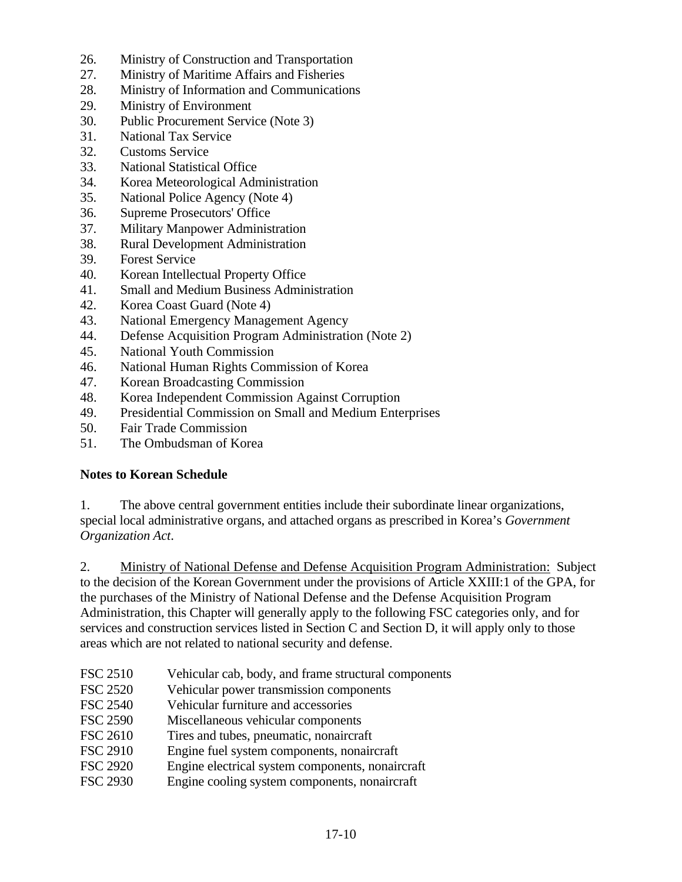- 26. Ministry of Construction and Transportation
- 27. Ministry of Maritime Affairs and Fisheries
- 28. Ministry of Information and Communications
- 29. Ministry of Environment
- 30. Public Procurement Service (Note 3)
- 31. National Tax Service
- 32. Customs Service
- 33. National Statistical Office
- 34. Korea Meteorological Administration
- 35. National Police Agency (Note 4)
- 36. Supreme Prosecutors' Office
- 37. Military Manpower Administration
- 38. Rural Development Administration
- 39. Forest Service
- 40. Korean Intellectual Property Office
- 41. Small and Medium Business Administration
- 42. Korea Coast Guard (Note 4)
- 43. National Emergency Management Agency
- 44. Defense Acquisition Program Administration (Note 2)
- 45. National Youth Commission
- 46. National Human Rights Commission of Korea
- 47. Korean Broadcasting Commission
- 48. Korea Independent Commission Against Corruption
- 49. Presidential Commission on Small and Medium Enterprises
- 50. Fair Trade Commission
- 51. The Ombudsman of Korea

# **Notes to Korean Schedule**

1. The above central government entities include their subordinate linear organizations, special local administrative organs, and attached organs as prescribed in Korea's *Government Organization Act*.

2. Ministry of National Defense and Defense Acquisition Program Administration: Subject to the decision of the Korean Government under the provisions of Article XXIII:1 of the GPA, for the purchases of the Ministry of National Defense and the Defense Acquisition Program Administration, this Chapter will generally apply to the following FSC categories only, and for services and construction services listed in Section C and Section D, it will apply only to those areas which are not related to national security and defense.

- FSC 2510 Vehicular cab, body, and frame structural components
- FSC 2520 Vehicular power transmission components
- FSC 2540 Vehicular furniture and accessories
- FSC 2590 Miscellaneous vehicular components
- FSC 2610 Tires and tubes, pneumatic, nonaircraft
- FSC 2910 Engine fuel system components, nonaircraft
- FSC 2920 Engine electrical system components, nonaircraft
- FSC 2930 Engine cooling system components, nonaircraft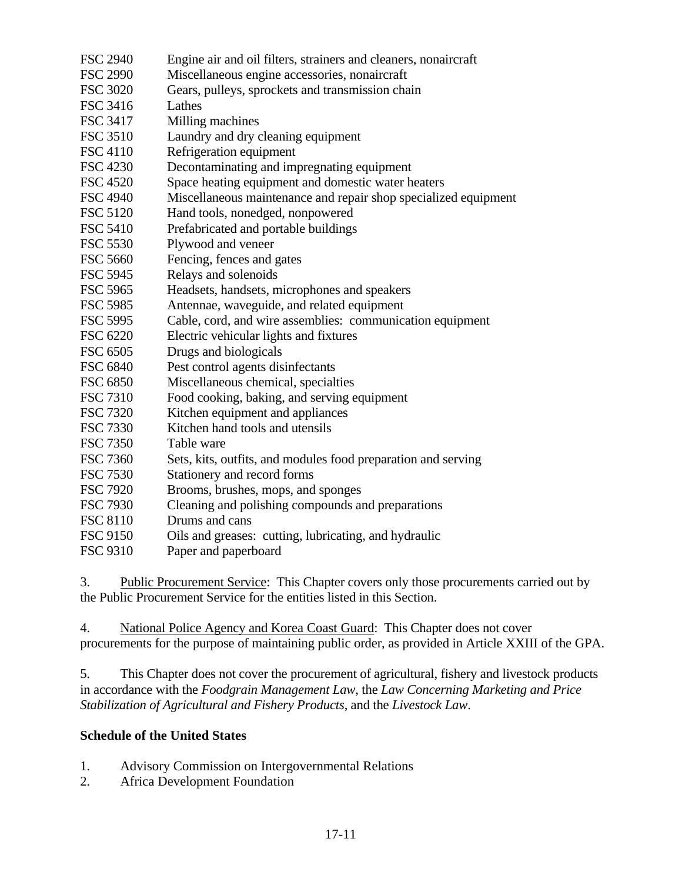- FSC 2940 Engine air and oil filters, strainers and cleaners, nonaircraft FSC 2990 Miscellaneous engine accessories, nonaircraft FSC 3020 Gears, pulleys, sprockets and transmission chain FSC 3416 Lathes FSC 3417 Milling machines FSC 3510 Laundry and dry cleaning equipment FSC 4110 Refrigeration equipment FSC 4230 Decontaminating and impregnating equipment FSC 4520 Space heating equipment and domestic water heaters FSC 4940 Miscellaneous maintenance and repair shop specialized equipment FSC 5120 Hand tools, nonedged, nonpowered FSC 5410 Prefabricated and portable buildings FSC 5530 Plywood and veneer FSC 5660 Fencing, fences and gates FSC 5945 Relays and solenoids FSC 5965 Headsets, handsets, microphones and speakers FSC 5985 Antennae, waveguide, and related equipment FSC 5995 Cable, cord, and wire assemblies: communication equipment FSC 6220 Electric vehicular lights and fixtures FSC 6505 Drugs and biologicals FSC 6840 Pest control agents disinfectants FSC 6850 Miscellaneous chemical, specialties FSC 7310 Food cooking, baking, and serving equipment FSC 7320 Kitchen equipment and appliances FSC 7330 Kitchen hand tools and utensils FSC 7350 Table ware FSC 7360 Sets, kits, outfits, and modules food preparation and serving FSC 7530 Stationery and record forms FSC 7920 Brooms, brushes, mops, and sponges FSC 7930 Cleaning and polishing compounds and preparations FSC 8110 Drums and cans FSC 9150 Oils and greases: cutting, lubricating, and hydraulic
- FSC 9310 Paper and paperboard

3. Public Procurement Service: This Chapter covers only those procurements carried out by the Public Procurement Service for the entities listed in this Section.

4. National Police Agency and Korea Coast Guard: This Chapter does not cover procurements for the purpose of maintaining public order, as provided in Article XXIII of the GPA.

5. This Chapter does not cover the procurement of agricultural, fishery and livestock products in accordance with the *Foodgrain Management Law*, the *Law Concerning Marketing and Price Stabilization of Agricultural and Fishery Products*, and the *Livestock Law*.

## **Schedule of the United States**

- 1. Advisory Commission on Intergovernmental Relations
- 2. Africa Development Foundation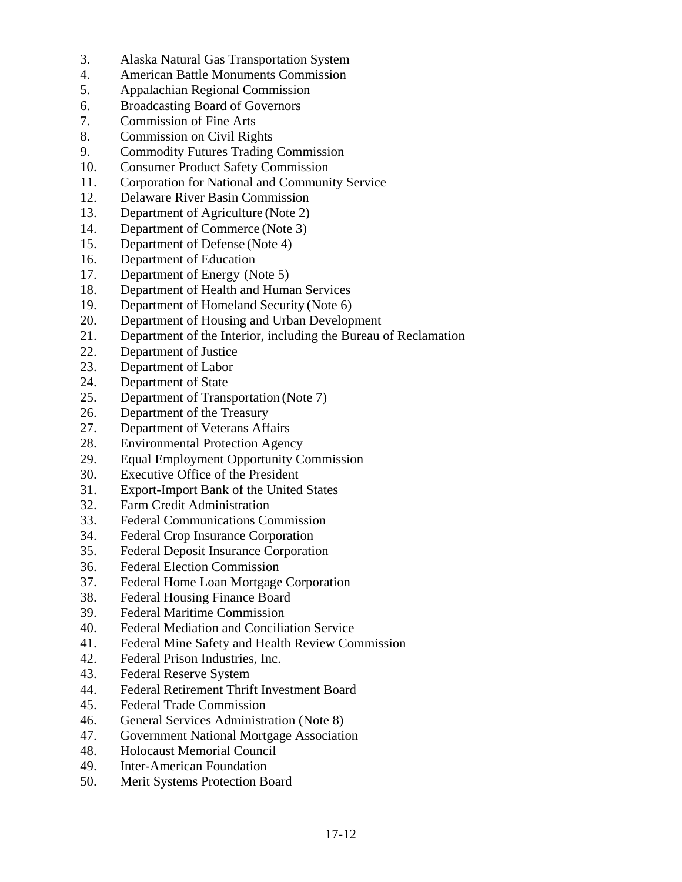- 3. Alaska Natural Gas Transportation System
- 4. American Battle Monuments Commission
- 5. Appalachian Regional Commission
- 6. Broadcasting Board of Governors
- 7. Commission of Fine Arts
- 8. Commission on Civil Rights
- 9. Commodity Futures Trading Commission
- 10. Consumer Product Safety Commission
- 11. Corporation for National and Community Service
- 12. Delaware River Basin Commission
- 13. Department of Agriculture (Note 2)
- 14. Department of Commerce (Note 3)
- 15. Department of Defense (Note 4)
- 16. Department of Education
- 17. Department of Energy (Note 5)
- 18. Department of Health and Human Services
- 19. Department of Homeland Security (Note 6)
- 20. Department of Housing and Urban Development
- 21. Department of the Interior, including the Bureau of Reclamation
- 22. Department of Justice
- 23. Department of Labor
- 24. Department of State
- 25. Department of Transportation (Note 7)
- 26. Department of the Treasury
- 27. Department of Veterans Affairs
- 28. Environmental Protection Agency
- 29. Equal Employment Opportunity Commission
- 30. Executive Office of the President
- 31. Export-Import Bank of the United States
- 32. Farm Credit Administration
- 33. Federal Communications Commission
- 34. Federal Crop Insurance Corporation
- 35. Federal Deposit Insurance Corporation
- 36. Federal Election Commission
- 37. Federal Home Loan Mortgage Corporation
- 38. Federal Housing Finance Board
- 39. Federal Maritime Commission
- 40. Federal Mediation and Conciliation Service
- 41. Federal Mine Safety and Health Review Commission
- 42. Federal Prison Industries, Inc.
- 43. Federal Reserve System
- 44. Federal Retirement Thrift Investment Board
- 45. Federal Trade Commission
- 46. General Services Administration (Note 8)
- 47. Government National Mortgage Association
- 48. Holocaust Memorial Council
- 49. Inter-American Foundation
- 50. Merit Systems Protection Board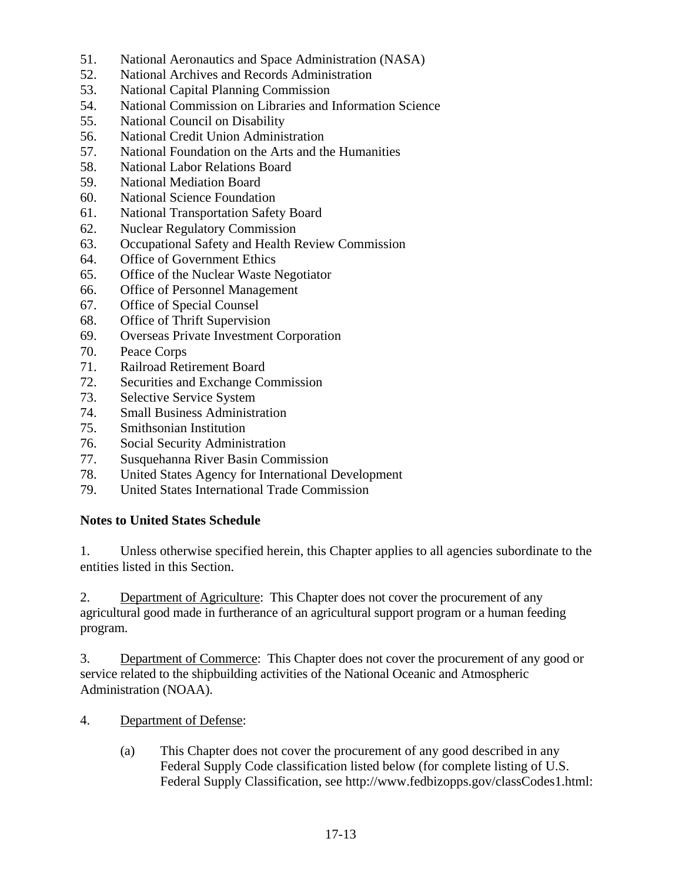- 51. National Aeronautics and Space Administration (NASA)
- 52. National Archives and Records Administration
- 53. National Capital Planning Commission
- 54. National Commission on Libraries and Information Science
- 55. National Council on Disability
- 56. National Credit Union Administration
- 57. National Foundation on the Arts and the Humanities
- 58. National Labor Relations Board
- 59. National Mediation Board
- 60. National Science Foundation
- 61. National Transportation Safety Board
- 62. Nuclear Regulatory Commission
- 63. Occupational Safety and Health Review Commission
- 64. Office of Government Ethics
- 65. Office of the Nuclear Waste Negotiator
- 66. Office of Personnel Management
- 67. Office of Special Counsel
- 68. Office of Thrift Supervision
- 69. Overseas Private Investment Corporation
- 70. Peace Corps
- 71. Railroad Retirement Board
- 72. Securities and Exchange Commission
- 73. Selective Service System
- 74. Small Business Administration
- 75. Smithsonian Institution
- 76. Social Security Administration
- 77. Susquehanna River Basin Commission
- 78. United States Agency for International Development
- 79. United States International Trade Commission

# **Notes to United States Schedule**

1. Unless otherwise specified herein, this Chapter applies to all agencies subordinate to the entities listed in this Section.

 2. Department of Agriculture: This Chapter does not cover the procurement of any agricultural good made in furtherance of an agricultural support program or a human feeding program.

3. Department of Commerce: This Chapter does not cover the procurement of any good or service related to the shipbuilding activities of the National Oceanic and Atmospheric Administration (NOAA).

- 4. Department of Defense:
	- (a) This Chapter does not cover the procurement of any good described in any Federal Supply Code classification listed below (for complete listing of U.S. Federal Supply Classification, see http://www.fedbizopps.gov/classCodes1.html: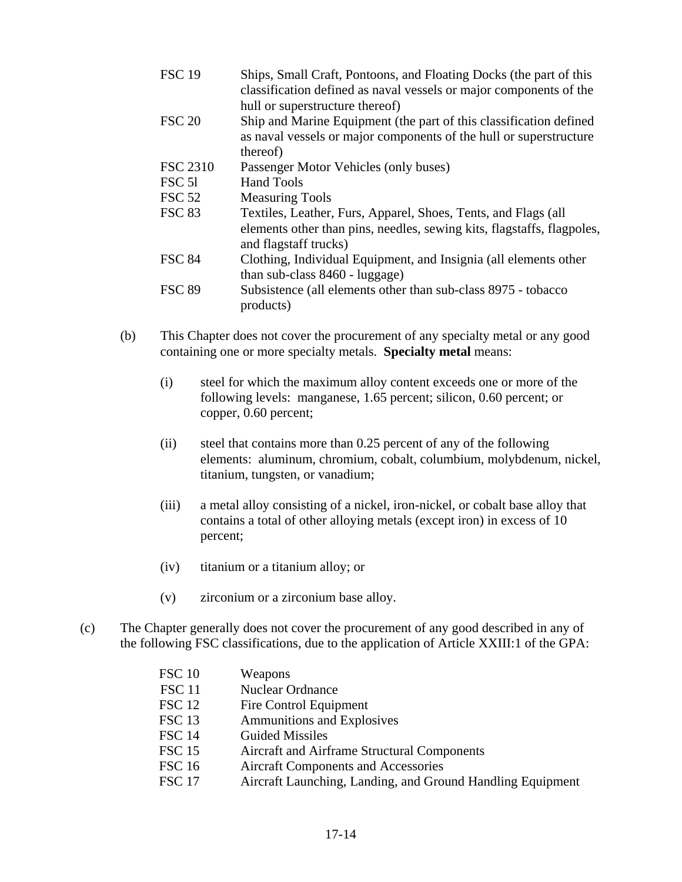| <b>FSC 19</b>     | Ships, Small Craft, Pontoons, and Floating Docks (the part of this<br>classification defined as naval vessels or major components of the<br>hull or superstructure thereof) |
|-------------------|-----------------------------------------------------------------------------------------------------------------------------------------------------------------------------|
| <b>FSC 20</b>     | Ship and Marine Equipment (the part of this classification defined<br>as naval vessels or major components of the hull or superstructure<br>thereof)                        |
| <b>FSC 2310</b>   | Passenger Motor Vehicles (only buses)                                                                                                                                       |
| FSC <sub>51</sub> | <b>Hand Tools</b>                                                                                                                                                           |
| <b>FSC 52</b>     | <b>Measuring Tools</b>                                                                                                                                                      |
| <b>FSC 83</b>     | Textiles, Leather, Furs, Apparel, Shoes, Tents, and Flags (all<br>elements other than pins, needles, sewing kits, flagstaffs, flagpoles,<br>and flagstaff trucks)           |
| <b>FSC 84</b>     | Clothing, Individual Equipment, and Insignia (all elements other<br>than sub-class $8460$ - luggage)                                                                        |
| <b>FSC 89</b>     | Subsistence (all elements other than sub-class 8975 - tobacco<br>products)                                                                                                  |

- (b) This Chapter does not cover the procurement of any specialty metal or any good containing one or more specialty metals. **Specialty metal** means:
	- (i) steel for which the maximum alloy content exceeds one or more of the following levels: manganese, 1.65 percent; silicon, 0.60 percent; or copper, 0.60 percent;
	- (ii) steel that contains more than 0.25 percent of any of the following elements: aluminum, chromium, cobalt, columbium, molybdenum, nickel, titanium, tungsten, or vanadium;
	- (iii) a metal alloy consisting of a nickel, iron-nickel, or cobalt base alloy that contains a total of other alloying metals (except iron) in excess of 10 percent;
	- (iv) titanium or a titanium alloy; or
	- (v) zirconium or a zirconium base alloy.
- (c) The Chapter generally does not cover the procurement of any good described in any of the following FSC classifications, due to the application of Article XXIII:1 of the GPA:

| <b>FSC 10</b> | Weapons                                                    |
|---------------|------------------------------------------------------------|
| <b>FSC 11</b> | Nuclear Ordnance                                           |
| <b>FSC 12</b> | Fire Control Equipment                                     |
| <b>FSC 13</b> | <b>Ammunitions and Explosives</b>                          |
| <b>FSC 14</b> | <b>Guided Missiles</b>                                     |
| <b>FSC 15</b> | Aircraft and Airframe Structural Components                |
| <b>FSC 16</b> | <b>Aircraft Components and Accessories</b>                 |
| <b>FSC 17</b> | Aircraft Launching, Landing, and Ground Handling Equipment |
|               |                                                            |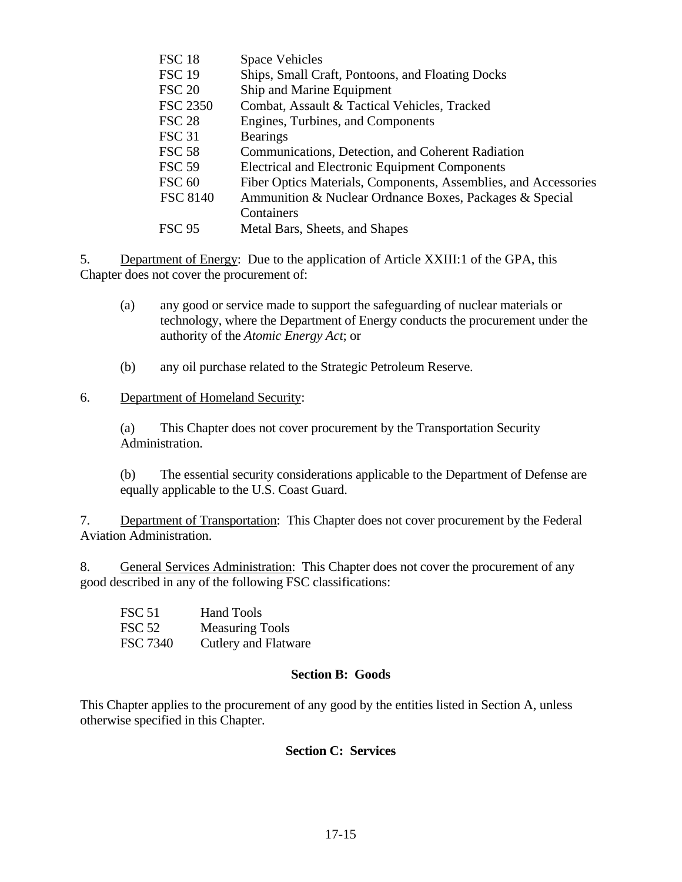| <b>FSC 18</b>   | <b>Space Vehicles</b>                                           |
|-----------------|-----------------------------------------------------------------|
| <b>FSC 19</b>   | Ships, Small Craft, Pontoons, and Floating Docks                |
| <b>FSC 20</b>   | Ship and Marine Equipment                                       |
| <b>FSC 2350</b> | Combat, Assault & Tactical Vehicles, Tracked                    |
| <b>FSC 28</b>   | Engines, Turbines, and Components                               |
| <b>FSC 31</b>   | <b>Bearings</b>                                                 |
| <b>FSC 58</b>   | Communications, Detection, and Coherent Radiation               |
| <b>FSC 59</b>   | <b>Electrical and Electronic Equipment Components</b>           |
| <b>FSC 60</b>   | Fiber Optics Materials, Components, Assemblies, and Accessories |
| <b>FSC 8140</b> | Ammunition & Nuclear Ordnance Boxes, Packages & Special         |
|                 | Containers                                                      |
| <b>FSC 95</b>   | Metal Bars, Sheets, and Shapes                                  |
|                 |                                                                 |

5. Department of Energy: Due to the application of Article XXIII:1 of the GPA, this Chapter does not cover the procurement of:

- (a) any good or service made to support the safeguarding of nuclear materials or technology, where the Department of Energy conducts the procurement under the authority of the *Atomic Energy Act*; or
- (b) any oil purchase related to the Strategic Petroleum Reserve.

### 6. Department of Homeland Security:

 (a) This Chapter does not cover procurement by the Transportation Security Administration.

 (b) The essential security considerations applicable to the Department of Defense are equally applicable to the U.S. Coast Guard.

7. Department of Transportation: This Chapter does not cover procurement by the Federal Aviation Administration.

8. General Services Administration: This Chapter does not cover the procurement of any good described in any of the following FSC classifications:

| <b>FSC 51</b> | <b>Hand Tools</b>           |
|---------------|-----------------------------|
| <b>FSC 52</b> | <b>Measuring Tools</b>      |
| FSC 7340      | <b>Cutlery and Flatware</b> |

#### **Section B: Goods**

This Chapter applies to the procurement of any good by the entities listed in Section A, unless otherwise specified in this Chapter.

## **Section C: Services**